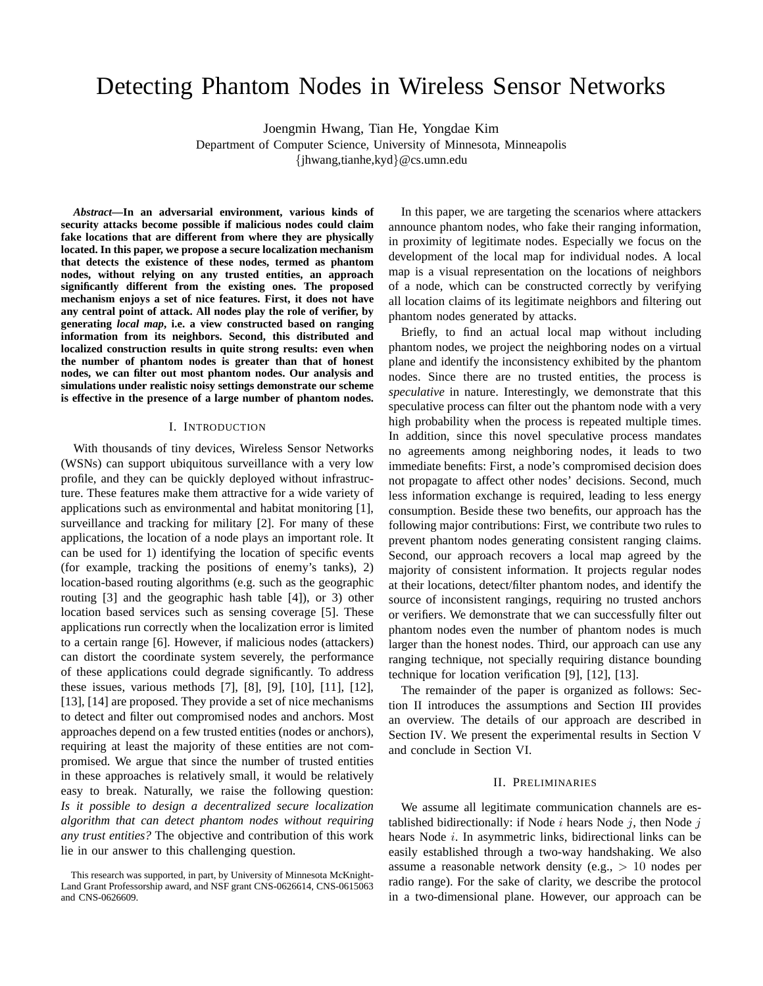# Detecting Phantom Nodes in Wireless Sensor Networks

Joengmin Hwang, Tian He, Yongdae Kim Department of Computer Science, University of Minnesota, Minneapolis {jhwang,tianhe,kyd}@cs.umn.edu

*Abstract***—In an adversarial environment, various kinds of security attacks become possible if malicious nodes could claim fake locations that are different from where they are physically located. In this paper, we propose a secure localization mechanism that detects the existence of these nodes, termed as phantom nodes, without relying on any trusted entities, an approach significantly different from the existing ones. The proposed mechanism enjoys a set of nice features. First, it does not have any central point of attack. All nodes play the role of verifier, by generating** *local map***, i.e. a view constructed based on ranging information from its neighbors. Second, this distributed and localized construction results in quite strong results: even when the number of phantom nodes is greater than that of honest nodes, we can filter out most phantom nodes. Our analysis and simulations under realistic noisy settings demonstrate our scheme is effective in the presence of a large number of phantom nodes.**

#### I. INTRODUCTION

With thousands of tiny devices, Wireless Sensor Networks (WSNs) can support ubiquitous surveillance with a very low profile, and they can be quickly deployed without infrastructure. These features make them attractive for a wide variety of applications such as environmental and habitat monitoring [1], surveillance and tracking for military [2]. For many of these applications, the location of a node plays an important role. It can be used for 1) identifying the location of specific events (for example, tracking the positions of enemy's tanks), 2) location-based routing algorithms (e.g. such as the geographic routing [3] and the geographic hash table [4]), or 3) other location based services such as sensing coverage [5]. These applications run correctly when the localization error is limited to a certain range [6]. However, if malicious nodes (attackers) can distort the coordinate system severely, the performance of these applications could degrade significantly. To address these issues, various methods [7], [8], [9], [10], [11], [12], [13], [14] are proposed. They provide a set of nice mechanisms to detect and filter out compromised nodes and anchors. Most approaches depend on a few trusted entities (nodes or anchors), requiring at least the majority of these entities are not compromised. We argue that since the number of trusted entities in these approaches is relatively small, it would be relatively easy to break. Naturally, we raise the following question: *Is it possible to design a decentralized secure localization algorithm that can detect phantom nodes without requiring any trust entities?* The objective and contribution of this work lie in our answer to this challenging question.

In this paper, we are targeting the scenarios where attackers announce phantom nodes, who fake their ranging information, in proximity of legitimate nodes. Especially we focus on the development of the local map for individual nodes. A local map is a visual representation on the locations of neighbors of a node, which can be constructed correctly by verifying all location claims of its legitimate neighbors and filtering out phantom nodes generated by attacks.

Briefly, to find an actual local map without including phantom nodes, we project the neighboring nodes on a virtual plane and identify the inconsistency exhibited by the phantom nodes. Since there are no trusted entities, the process is *speculative* in nature. Interestingly, we demonstrate that this speculative process can filter out the phantom node with a very high probability when the process is repeated multiple times. In addition, since this novel speculative process mandates no agreements among neighboring nodes, it leads to two immediate benefits: First, a node's compromised decision does not propagate to affect other nodes' decisions. Second, much less information exchange is required, leading to less energy consumption. Beside these two benefits, our approach has the following major contributions: First, we contribute two rules to prevent phantom nodes generating consistent ranging claims. Second, our approach recovers a local map agreed by the majority of consistent information. It projects regular nodes at their locations, detect/filter phantom nodes, and identify the source of inconsistent rangings, requiring no trusted anchors or verifiers. We demonstrate that we can successfully filter out phantom nodes even the number of phantom nodes is much larger than the honest nodes. Third, our approach can use any ranging technique, not specially requiring distance bounding technique for location verification [9], [12], [13].

The remainder of the paper is organized as follows: Section II introduces the assumptions and Section III provides an overview. The details of our approach are described in Section IV. We present the experimental results in Section V and conclude in Section VI.

## II. PRELIMINARIES

We assume all legitimate communication channels are established bidirectionally: if Node  $i$  hears Node  $j$ , then Node  $j$ hears Node *i*. In asymmetric links, bidirectional links can be easily established through a two-way handshaking. We also assume a reasonable network density (e.g.,  $> 10$  nodes per radio range). For the sake of clarity, we describe the protocol in a two-dimensional plane. However, our approach can be

This research was supported, in part, by University of Minnesota McKnight-Land Grant Professorship award, and NSF grant CNS-0626614, CNS-0615063 and CNS-0626609.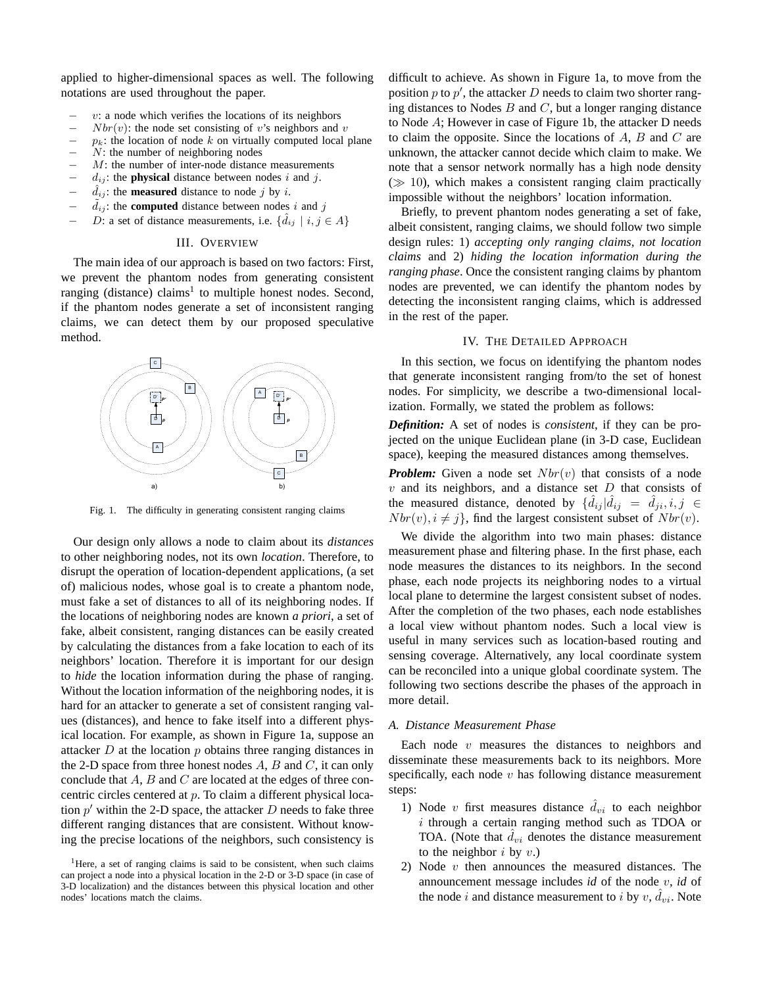applied to higher-dimensional spaces as well. The following notations are used throughout the paper.

- $v:$  a node which verifies the locations of its neighbors
- $Nbr(v)$ : the node set consisting of v's neighbors and v
- $p_k$ : the location of node k on virtually computed local plane
- $N$ : the number of neighboring nodes
- $M$ : the number of inter-node distance measurements
- $d_{ij}$ : the **physical** distance between nodes i and j.
- $d_{ij}$ : the **measured** distance to node j by i.
- $d_{ij}$ : the **computed** distance between nodes i and j
- D: a set of distance measurements, i.e.  $\{\hat{d}_{ij} \mid i, j \in A\}$

#### III. OVERVIEW

The main idea of our approach is based on two factors: First, we prevent the phantom nodes from generating consistent ranging (distance) claims<sup>1</sup> to multiple honest nodes. Second, if the phantom nodes generate a set of inconsistent ranging claims, we can detect them by our proposed speculative method.



Fig. 1. The difficulty in generating consistent ranging claims

Our design only allows a node to claim about its *distances* to other neighboring nodes, not its own *location*. Therefore, to disrupt the operation of location-dependent applications, (a set of) malicious nodes, whose goal is to create a phantom node, must fake a set of distances to all of its neighboring nodes. If the locations of neighboring nodes are known *a priori*, a set of fake, albeit consistent, ranging distances can be easily created by calculating the distances from a fake location to each of its neighbors' location. Therefore it is important for our design to *hide* the location information during the phase of ranging. Without the location information of the neighboring nodes, it is hard for an attacker to generate a set of consistent ranging values (distances), and hence to fake itself into a different physical location. For example, as shown in Figure 1a, suppose an attacker  $D$  at the location  $p$  obtains three ranging distances in the 2-D space from three honest nodes  $A, B$  and  $C$ , it can only conclude that  $A$ ,  $B$  and  $C$  are located at the edges of three concentric circles centered at p. To claim a different physical location  $p'$  within the 2-D space, the attacker D needs to fake three different ranging distances that are consistent. Without knowing the precise locations of the neighbors, such consistency is difficult to achieve. As shown in Figure 1a, to move from the position  $p$  to  $p'$ , the attacker  $D$  needs to claim two shorter ranging distances to Nodes  $B$  and  $C$ , but a longer ranging distance to Node A; However in case of Figure 1b, the attacker D needs to claim the opposite. Since the locations of  $A$ ,  $B$  and  $C$  are unknown, the attacker cannot decide which claim to make. We note that a sensor network normally has a high node density  $(\gg 10)$ , which makes a consistent ranging claim practically impossible without the neighbors' location information.

Briefly, to prevent phantom nodes generating a set of fake, albeit consistent, ranging claims, we should follow two simple design rules: 1) *accepting only ranging claims, not location claims* and 2) *hiding the location information during the ranging phase*. Once the consistent ranging claims by phantom nodes are prevented, we can identify the phantom nodes by detecting the inconsistent ranging claims, which is addressed in the rest of the paper.

# IV. THE DETAILED APPROACH

In this section, we focus on identifying the phantom nodes that generate inconsistent ranging from/to the set of honest nodes. For simplicity, we describe a two-dimensional localization. Formally, we stated the problem as follows:

*Definition:* A set of nodes is *consistent*, if they can be projected on the unique Euclidean plane (in 3-D case, Euclidean space), keeping the measured distances among themselves.

*Problem:* Given a node set  $Nbr(v)$  that consists of a node  $v$  and its neighbors, and a distance set  $D$  that consists of the measured distance, denoted by  $\{\hat{d}_{ij}|\hat{d}_{ij} = \hat{d}_{ji}, i, j \in$  $Nbr(v), i \neq j$ , find the largest consistent subset of  $Nbr(v)$ .

We divide the algorithm into two main phases: distance measurement phase and filtering phase. In the first phase, each node measures the distances to its neighbors. In the second phase, each node projects its neighboring nodes to a virtual local plane to determine the largest consistent subset of nodes. After the completion of the two phases, each node establishes a local view without phantom nodes. Such a local view is useful in many services such as location-based routing and sensing coverage. Alternatively, any local coordinate system can be reconciled into a unique global coordinate system. The following two sections describe the phases of the approach in more detail.

#### *A. Distance Measurement Phase*

Each node  $v$  measures the distances to neighbors and disseminate these measurements back to its neighbors. More specifically, each node  $v$  has following distance measurement steps:

- 1) Node v first measures distance  $\hat{d}_{vi}$  to each neighbor i through a certain ranging method such as TDOA or TOA. (Note that  $d_{vi}$  denotes the distance measurement to the neighbor  $i$  by  $v$ .)
- 2) Node v then announces the measured distances. The announcement message includes *id* of the node v, *id* of the node *i* and distance measurement to *i* by *v*,  $\hat{d}_{vi}$ . Note

<sup>&</sup>lt;sup>1</sup>Here, a set of ranging claims is said to be consistent, when such claims can project a node into a physical location in the 2-D or 3-D space (in case of 3-D localization) and the distances between this physical location and other nodes' locations match the claims.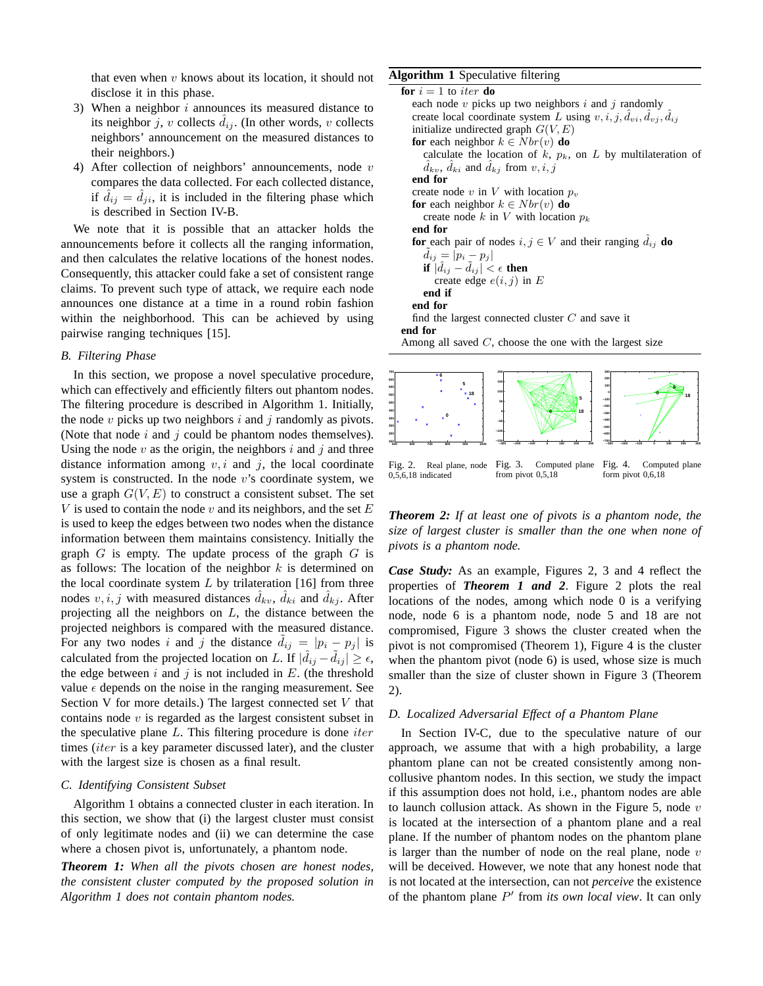that even when  $v$  knows about its location, it should not disclose it in this phase.

- 3) When a neighbor  $i$  announces its measured distance to its neighbor j, v collects  $\hat{d}_{ij}$ . (In other words, v collects neighbors' announcement on the measured distances to their neighbors.)
- 4) After collection of neighbors' announcements, node  $v$ compares the data collected. For each collected distance, if  $\hat{d}_{ij} = \hat{d}_{ji}$ , it is included in the filtering phase which is described in Section IV-B.

We note that it is possible that an attacker holds the announcements before it collects all the ranging information, and then calculates the relative locations of the honest nodes. Consequently, this attacker could fake a set of consistent range claims. To prevent such type of attack, we require each node announces one distance at a time in a round robin fashion within the neighborhood. This can be achieved by using pairwise ranging techniques [15].

## *B. Filtering Phase*

In this section, we propose a novel speculative procedure, which can effectively and efficiently filters out phantom nodes. The filtering procedure is described in Algorithm 1. Initially, the node  $v$  picks up two neighbors  $i$  and  $j$  randomly as pivots. (Note that node  $i$  and  $j$  could be phantom nodes themselves). Using the node  $v$  as the origin, the neighbors  $i$  and  $j$  and three distance information among  $v, i$  and  $j$ , the local coordinate system is constructed. In the node  $v$ 's coordinate system, we use a graph  $G(V, E)$  to construct a consistent subset. The set V is used to contain the node v and its neighbors, and the set  $E$ is used to keep the edges between two nodes when the distance information between them maintains consistency. Initially the graph  $G$  is empty. The update process of the graph  $G$  is as follows: The location of the neighbor  $k$  is determined on the local coordinate system  $L$  by trilateration [16] from three nodes  $v, i, j$  with measured distances  $\hat{d}_{kv}$ ,  $\hat{d}_{ki}$  and  $\hat{d}_{kj}$ . After projecting all the neighbors on  $L$ , the distance between the projected neighbors is compared with the measured distance. For any two nodes i and j the distance  $d_{ij} = |p_i - p_j|$  is calculated from the projected location on L. If  $|\hat{d}_{ij} - \tilde{d}_{ij}| \ge \epsilon$ , the edge between i and j is not included in  $E$ . (the threshold value  $\epsilon$  depends on the noise in the ranging measurement. See Section V for more details.) The largest connected set V that contains node  $v$  is regarded as the largest consistent subset in the speculative plane  $L$ . This filtering procedure is done *iter* times (iter is a key parameter discussed later), and the cluster with the largest size is chosen as a final result.

#### *C. Identifying Consistent Subset*

Algorithm 1 obtains a connected cluster in each iteration. In this section, we show that (i) the largest cluster must consist of only legitimate nodes and (ii) we can determine the case where a chosen pivot is, unfortunately, a phantom node.

*Theorem 1: When all the pivots chosen are honest nodes, the consistent cluster computed by the proposed solution in Algorithm 1 does not contain phantom nodes.*

## **Algorithm 1** Speculative filtering

**for**  $i = 1$  to *iter* **do** each node  $v$  picks up two neighbors  $i$  and  $j$  randomly create local coordinate system L using  $v, i, j, d_{vi}, d_{vj}, d_{ij}$ initialize undirected graph  $G(V, E)$ **for** each neighbor  $k \in Nbr(v)$  **do** calculate the location of  $k$ ,  $p_k$ , on  $L$  by multilateration of  $\ddot{d}_{kv}$ ,  $\ddot{d}_{ki}$  and  $\ddot{d}_{kj}$  from  $v, i, j$ **end for** create node  $v$  in  $V$  with location  $p_v$ **for** each neighbor  $k \in Nbr(v)$  **do** create node k in V with location  $p_k$ **end for for** each pair of nodes  $i, j \in V$  and their ranging  $d_{ij}$  **do**  $d_{ij} = |p_i - p_j|$ **if**  $|d_{ij} - d_{ij}| < \epsilon$  **then** create edge  $e(i, j)$  in E **end if end for** find the largest connected cluster  $C$  and save it **end for** Among all saved  $C$ , choose the one with the largest size



*Theorem 2: If at least one of pivots is a phantom node, the size of largest cluster is smaller than the one when none of pivots is a phantom node.*

*Case Study:* As an example, Figures 2, 3 and 4 reflect the properties of *Theorem 1 and 2*. Figure 2 plots the real locations of the nodes, among which node 0 is a verifying node, node 6 is a phantom node, node 5 and 18 are not compromised, Figure 3 shows the cluster created when the pivot is not compromised (Theorem 1), Figure 4 is the cluster when the phantom pivot (node 6) is used, whose size is much smaller than the size of cluster shown in Figure 3 (Theorem 2).

# *D. Localized Adversarial Effect of a Phantom Plane*

In Section IV-C, due to the speculative nature of our approach, we assume that with a high probability, a large phantom plane can not be created consistently among noncollusive phantom nodes. In this section, we study the impact if this assumption does not hold, i.e., phantom nodes are able to launch collusion attack. As shown in the Figure 5, node  $v$ is located at the intersection of a phantom plane and a real plane. If the number of phantom nodes on the phantom plane is larger than the number of node on the real plane, node  $v$ will be deceived. However, we note that any honest node that is not located at the intersection, can not *perceive* the existence of the phantom plane P ′ from *its own local view*. It can only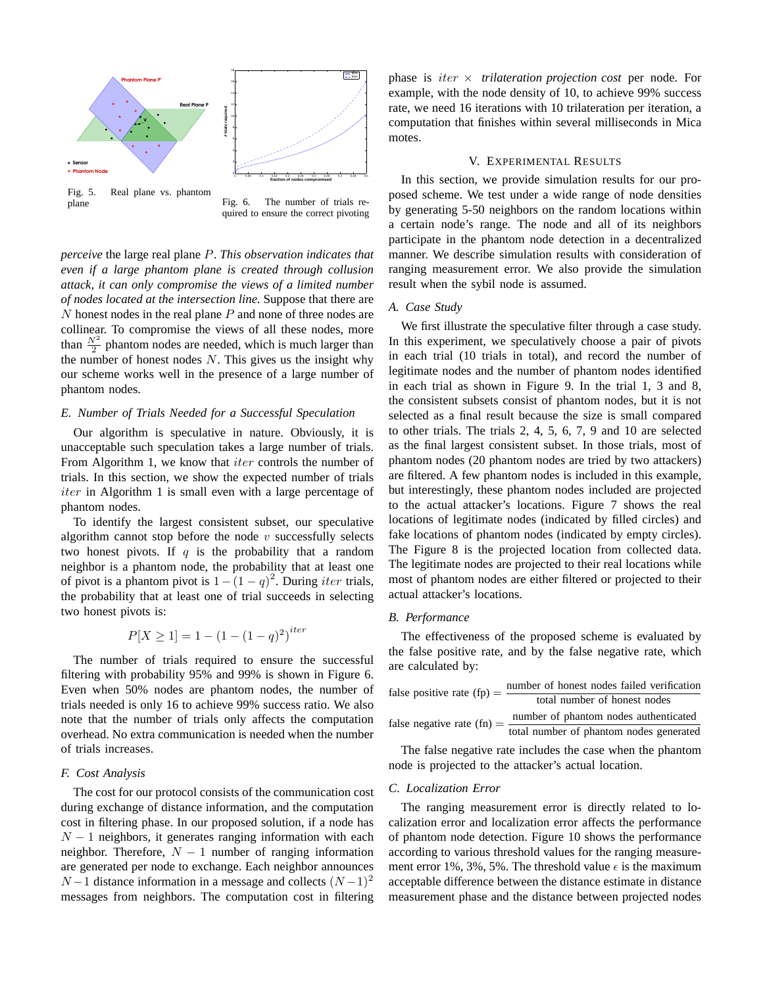

Fig. 5. Real plane vs. phantom plane Fig. 6. The number of trials required to ensure the correct pivoting

*perceive* the large real plane P. *This observation indicates that even if a large phantom plane is created through collusion attack, it can only compromise the views of a limited number of nodes located at the intersection line.* Suppose that there are  $N$  honest nodes in the real plane  $P$  and none of three nodes are collinear. To compromise the views of all these nodes, more than  $\frac{N^2}{2}$  phantom nodes are needed, which is much larger than the number of honest nodes  $N$ . This gives us the insight why our scheme works well in the presence of a large number of phantom nodes.

# *E. Number of Trials Needed for a Successful Speculation*

Our algorithm is speculative in nature. Obviously, it is unacceptable such speculation takes a large number of trials. From Algorithm 1, we know that *iter* controls the number of trials. In this section, we show the expected number of trials *iter* in Algorithm 1 is small even with a large percentage of phantom nodes.

To identify the largest consistent subset, our speculative algorithm cannot stop before the node  $v$  successfully selects two honest pivots. If q is the probability that a random neighbor is a phantom node, the probability that at least one of pivot is a phantom pivot is  $1 - (1 - q)^2$ . During *iter* trials, the probability that at least one of trial succeeds in selecting two honest pivots is:

$$
P[X \ge 1] = 1 - (1 - (1 - q)^2)^{iter}
$$

The number of trials required to ensure the successful filtering with probability 95% and 99% is shown in Figure 6. Even when 50% nodes are phantom nodes, the number of trials needed is only 16 to achieve 99% success ratio. We also note that the number of trials only affects the computation overhead. No extra communication is needed when the number of trials increases.

# *F. Cost Analysis*

The cost for our protocol consists of the communication cost during exchange of distance information, and the computation cost in filtering phase. In our proposed solution, if a node has  $N-1$  neighbors, it generates ranging information with each neighbor. Therefore,  $N-1$  number of ranging information are generated per node to exchange. Each neighbor announces  $N-1$  distance information in a message and collects  $(N-1)^2$ messages from neighbors. The computation cost in filtering phase is iter × *trilateration projection cost* per node. For example, with the node density of 10, to achieve 99% success rate, we need 16 iterations with 10 trilateration per iteration, a computation that finishes within several milliseconds in Mica motes.

## V. EXPERIMENTAL RESULTS

In this section, we provide simulation results for our proposed scheme. We test under a wide range of node densities by generating 5-50 neighbors on the random locations within a certain node's range. The node and all of its neighbors participate in the phantom node detection in a decentralized manner. We describe simulation results with consideration of ranging measurement error. We also provide the simulation result when the sybil node is assumed.

# *A. Case Study*

We first illustrate the speculative filter through a case study. In this experiment, we speculatively choose a pair of pivots in each trial (10 trials in total), and record the number of legitimate nodes and the number of phantom nodes identified in each trial as shown in Figure 9. In the trial 1, 3 and 8, the consistent subsets consist of phantom nodes, but it is not selected as a final result because the size is small compared to other trials. The trials 2, 4, 5, 6, 7, 9 and 10 are selected as the final largest consistent subset. In those trials, most of phantom nodes (20 phantom nodes are tried by two attackers) are filtered. A few phantom nodes is included in this example, but interestingly, these phantom nodes included are projected to the actual attacker's locations. Figure 7 shows the real locations of legitimate nodes (indicated by filled circles) and fake locations of phantom nodes (indicated by empty circles). The Figure 8 is the projected location from collected data. The legitimate nodes are projected to their real locations while most of phantom nodes are either filtered or projected to their actual attacker's locations.

# *B. Performance*

The effectiveness of the proposed scheme is evaluated by the false positive rate, and by the false negative rate, which are calculated by:

| number of honest nodes failed verification<br>false positive rate $(fp) =$   |
|------------------------------------------------------------------------------|
| total number of honest nodes                                                 |
| number of phantom nodes authenticated<br>false negative rate $(\text{fn}) =$ |
| total number of phantom nodes generated                                      |
|                                                                              |

The false negative rate includes the case when the phantom node is projected to the attacker's actual location.

#### *C. Localization Error*

The ranging measurement error is directly related to localization error and localization error affects the performance of phantom node detection. Figure 10 shows the performance according to various threshold values for the ranging measurement error 1%, 3%, 5%. The threshold value  $\epsilon$  is the maximum acceptable difference between the distance estimate in distance measurement phase and the distance between projected nodes